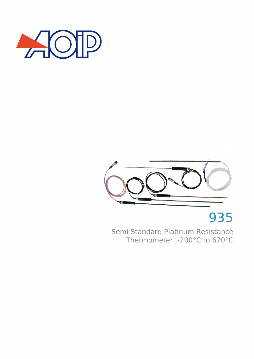



# 935

Semi Standard Platinum Resistance Thermometer, -200°C to 670°C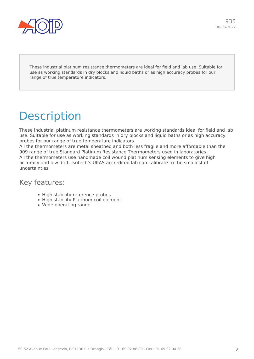

These industrial platinum resistance thermometers are ideal for field and lab use. Suitable for use as working standards in dry blocks and liquid baths or as high accuracy probes for our range of true temperature indicators.

## **Description**

These industrial platinum resistance thermometers are working standards ideal for field and lab use. Suitable for use as working standards in dry blocks and liquid baths or as high accuracy probes for our range of true temperature indicators.

All the thermometers are metal sheathed and both less fragile and more affordable than the 909 range of true Standard Platinum Resistance Thermometers used in laboratories. All the thermometers use handmade coil wound platinum sensing elements to give high accuracy and low drift. Isotech's UKAS accredited lab can calibrate to the smallest of uncertainties.

#### Key features:

- High stability reference probes
- High stability Platinum coil element
- Wide operating range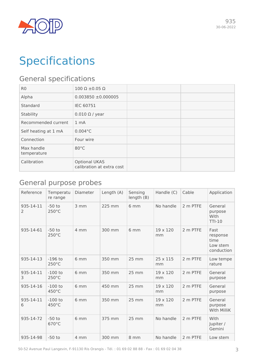

## **Specifications**

## General specifications

| R <sub>0</sub>            | $100 \Omega \pm 0.05 \Omega$                      |  |
|---------------------------|---------------------------------------------------|--|
| Alpha                     | $0.003850 \pm 0.000005$                           |  |
| Standard                  | <b>IEC 60751</b>                                  |  |
| Stability                 | $0.010 \Omega$ / year                             |  |
| Recommended current       | 1 <sub>mA</sub>                                   |  |
| Self heating at 1 mA      | $0.004$ °C                                        |  |
| Connection                | Four wire                                         |  |
| Max handle<br>temperature | $80^{\circ}$ C                                    |  |
| Calibration               | <b>Optional UKAS</b><br>calibration at extra cost |  |

## General purpose probes

| Reference      | Temperatu<br>re range        | Diameter | Length (A) | Sensing<br>length (B) | Handle (C)            | Cable    | Application                                        |
|----------------|------------------------------|----------|------------|-----------------------|-----------------------|----------|----------------------------------------------------|
| 935-14-11<br>2 | $-50$ to<br>250°C            | 3 mm     | 225 mm     | 6 <sub>mm</sub>       | No handle             | 2 m PTFE | General<br>purpose<br>With<br>$TTI-10$             |
| 935-14-61      | $-50$ to<br>$250^{\circ}$ C  | 4 mm     | 300 mm     | 6 mm                  | 19 x 120<br>mm        | 2 m PTFE | Fast<br>response<br>time<br>Low stem<br>conduction |
| 935-14-13      | $-196$ to<br>$250^{\circ}$ C | 6 mm     | 350 mm     | $25 \, \text{mm}$     | 25 x 115<br>mm        | 2 m PTFE | Low tempe<br>rature                                |
| 935-14-11<br>3 | $-100$ to<br>$250^{\circ}$ C | 6 mm     | 350 mm     | 25 mm                 | 19 x 120<br>mm        | 2 m PTFE | General<br>purpose                                 |
| 935-14-16      | $-100$ to<br>450°C           | 6 mm     | 450 mm     | 25 mm                 | $19 \times 120$<br>mm | 2 m PTFE | General<br>purpose                                 |
| 935-14-11<br>6 | $-100$ to<br>450°C           | 6 mm     | 350 mm     | 25 mm                 | 19 x 120<br>mm        | 2 m PTFE | General<br>purpose<br>With MilliK                  |
| 935-14-72      | $-50$ to<br>670°C            | 6 mm     | 375 mm     | 25 mm                 | No handle             | 2 m PTFE | With<br>Jupiter /<br>Gemini                        |
| 935-14-98      | $-50$ to                     | 4 mm     | 300 mm     | 8 mm                  | No handle             | 2 m PTFE | Low stem                                           |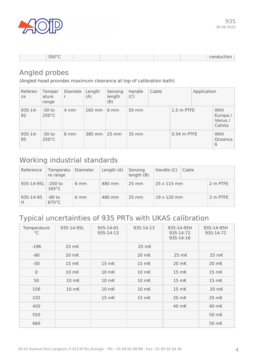

| $350^{\circ}C$<br>-- |  |  | <b>Conduction</b> |
|----------------------|--|--|-------------------|
|                      |  |  |                   |

### Angled probes

(Angled head provides maximum clearance at top of calibration bath)

| Referen<br>ce    | Temper<br>ature<br>range    | Diamete<br>r   | Length<br>(A)              | Sensing<br>length<br>(B) | Handle<br>(C) | Cable |               | Application |                                        |
|------------------|-----------------------------|----------------|----------------------------|--------------------------|---------------|-------|---------------|-------------|----------------------------------------|
| $935 - 14$<br>82 | $-50$ to<br>$250^{\circ}$ C | 4 mm           | $165$ mm                   | $6 \text{ mm}$           | 50 mm         |       | 1.5 m PTFE    |             | With<br>Europa /<br>Venus /<br>Calisto |
| $935 - 14$<br>85 | $-50$ to<br>$250^{\circ}$ C | $6 \text{ mm}$ | $385 \, \text{mm}$   25 mm |                          | 35 mm         |       | $0.54$ m PTFE |             | With<br><b>Oceanus</b><br>6            |

### Working industrial standards

| Reference          | Temperatu<br>re range       | Diameter       | Length (A) | Sensing<br>length (B) | Handle (C)         | Cable |          |
|--------------------|-----------------------------|----------------|------------|-----------------------|--------------------|-------|----------|
| 935-14-95L -200 to | $165^{\circ}$ C             | $6 \text{ mm}$ | 480 mm     | $25 \text{ mm}$       | $25 \times 115$ mm |       | 2 m PTFE |
| 935-14-95<br>Н     | $-80$ to<br>$670^{\circ}$ C | $6 \text{ mm}$ | 480 mm     | $25 \text{ mm}$       | $19 \times 120$ mm |       | 2 m PTFE |

## Typical uncertainties of 935 PRTs with UKAS calibration

| Temperature<br>$^{\circ}{\rm C}$ | 935-14-95L | 935-14-61<br>935-14-13 | 935-14-13 | 935-14-95H<br>935-14-72<br>935-14-16 | 935-14-95H<br>935-14-72 |
|----------------------------------|------------|------------------------|-----------|--------------------------------------|-------------------------|
| $-196$                           | 25 mK      |                        | 25 mK     |                                      |                         |
| $-80$                            | 20 mK      |                        | 20 mK     | 25 mK                                | 25 mK                   |
| $-50$                            | 15 mK      | 15 mK                  | 15 mK     | 20 mK                                | 20 mK                   |
| $\mathbf 0$                      | 10 mK      | 10 mK                  | 10 mK     | 15 mK                                | 15 mK                   |
| 50                               | 10 mK      | 10 mK                  | 10 mK     | $15 \, mK$                           | 15 mK                   |
| 156                              | 10 mK      | 10 mK                  | 10 mK     | 15 mK                                | 20 mK                   |
| 232                              |            | 15 mK                  | 15 mK     | 20 mK                                | 25 mK                   |
| 420                              |            |                        |           | 40 mK                                | 40 mK                   |
| 550                              |            |                        |           |                                      | 50 mK                   |
| 660                              |            |                        |           |                                      | 50 mK                   |